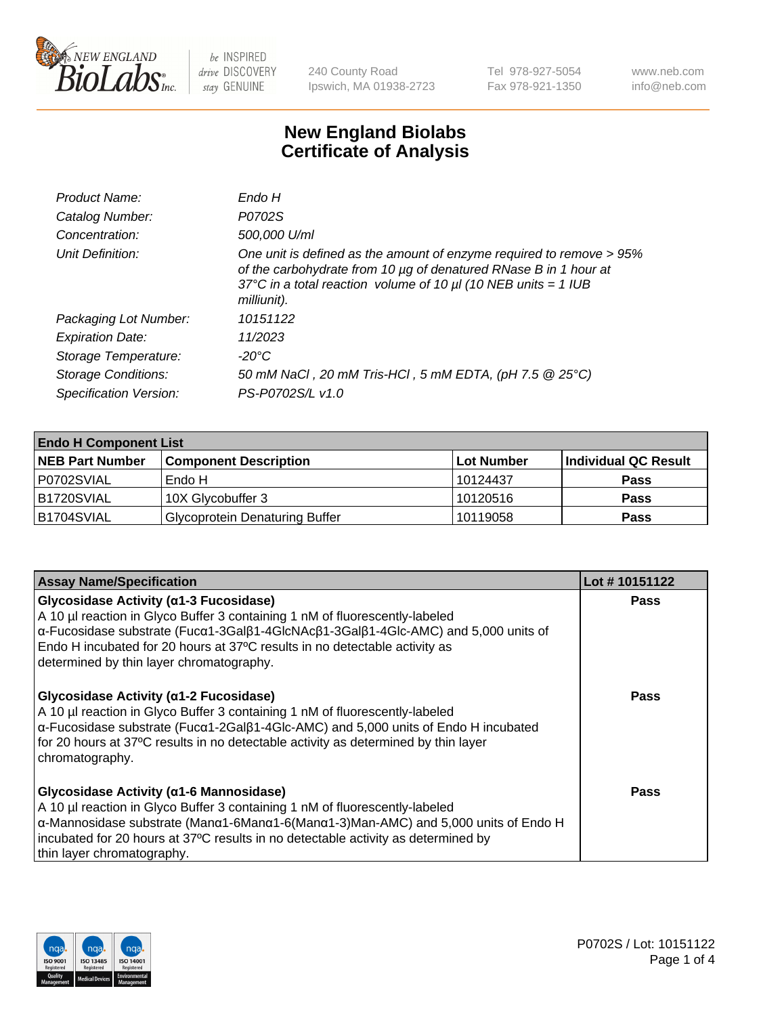

240 County Road Ipswich, MA 01938-2723 Tel 978-927-5054 Fax 978-921-1350 www.neb.com info@neb.com

## **New England Biolabs Certificate of Analysis**

| Product Name:              | Endo H                                                                                                                                                                                                                         |
|----------------------------|--------------------------------------------------------------------------------------------------------------------------------------------------------------------------------------------------------------------------------|
| Catalog Number:            | P0702S                                                                                                                                                                                                                         |
| Concentration:             | 500,000 U/ml                                                                                                                                                                                                                   |
| Unit Definition:           | One unit is defined as the amount of enzyme required to remove > 95%<br>of the carbohydrate from 10 µg of denatured RNase B in 1 hour at<br>37°C in a total reaction volume of 10 $\mu$ I (10 NEB units = 1 IUB<br>milliunit). |
| Packaging Lot Number:      | 10151122                                                                                                                                                                                                                       |
| <b>Expiration Date:</b>    | 11/2023                                                                                                                                                                                                                        |
| Storage Temperature:       | -20°C                                                                                                                                                                                                                          |
| <b>Storage Conditions:</b> | 50 mM NaCl, 20 mM Tris-HCl, 5 mM EDTA, (pH 7.5 @ 25°C)                                                                                                                                                                         |
| Specification Version:     | PS-P0702S/L v1.0                                                                                                                                                                                                               |

| <b>Endo H Component List</b> |                                       |             |                      |  |
|------------------------------|---------------------------------------|-------------|----------------------|--|
| <b>NEB Part Number</b>       | <b>Component Description</b>          | ∣Lot Number | Individual QC Result |  |
| P0702SVIAL                   | Endo H                                | 10124437    | <b>Pass</b>          |  |
| <b>B1720SVIAL</b>            | 10X Glycobuffer 3                     | 10120516    | <b>Pass</b>          |  |
| B1704SVIAL                   | <b>Glycoprotein Denaturing Buffer</b> | 10119058    | <b>Pass</b>          |  |

| <b>Assay Name/Specification</b>                                                                                                                                                                                                                                                                                                                                                       | Lot #10151122 |
|---------------------------------------------------------------------------------------------------------------------------------------------------------------------------------------------------------------------------------------------------------------------------------------------------------------------------------------------------------------------------------------|---------------|
| <b>Glycosidase Activity (α1-3 Fucosidase)</b><br>A 10 µl reaction in Glyco Buffer 3 containing 1 nM of fluorescently-labeled<br>$\alpha$ -Fucosidase substrate (Fuc $\alpha$ 1-3Gal $\beta$ 1-4GlcNAc $\beta$ 1-3Gal $\beta$ 1-4Glc-AMC) and 5,000 units of<br>Endo H incubated for 20 hours at 37°C results in no detectable activity as<br>determined by thin layer chromatography. | <b>Pass</b>   |
| <b>Glycosidase Activity (α1-2 Fucosidase)</b><br>A 10 µl reaction in Glyco Buffer 3 containing 1 nM of fluorescently-labeled<br>$\alpha$ -Fucosidase substrate (Fuc $\alpha$ 1-2Gal $\beta$ 1-4Glc-AMC) and 5,000 units of Endo H incubated<br>for 20 hours at 37°C results in no detectable activity as determined by thin layer<br>chromatography.                                  | Pass          |
| Glycosidase Activity (α1-6 Mannosidase)<br>A 10 µl reaction in Glyco Buffer 3 containing 1 nM of fluorescently-labeled<br>$\alpha$ -Mannosidase substrate (Man $\alpha$ 1-6Man $\alpha$ 1-6(Man $\alpha$ 1-3)Man-AMC) and 5,000 units of Endo H<br>incubated for 20 hours at 37°C results in no detectable activity as determined by<br>thin layer chromatography.                    | Pass          |

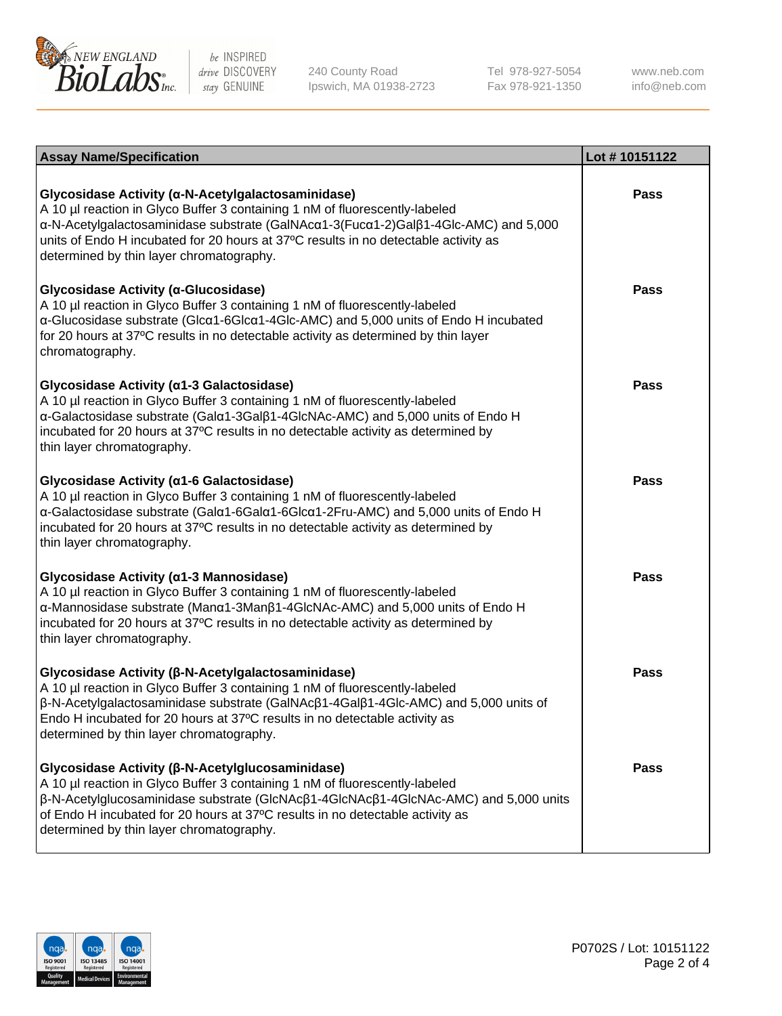

240 County Road Ipswich, MA 01938-2723 Tel 978-927-5054 Fax 978-921-1350

www.neb.com info@neb.com

| <b>Assay Name/Specification</b>                                                                                                                                                                                                                                                                                                                             | Lot #10151122 |
|-------------------------------------------------------------------------------------------------------------------------------------------------------------------------------------------------------------------------------------------------------------------------------------------------------------------------------------------------------------|---------------|
| Glycosidase Activity (α-N-Acetylgalactosaminidase)<br>A 10 µl reaction in Glyco Buffer 3 containing 1 nM of fluorescently-labeled<br>α-N-Acetylgalactosaminidase substrate (GalNAcα1-3(Fucα1-2)Galβ1-4Glc-AMC) and 5,000<br>units of Endo H incubated for 20 hours at 37°C results in no detectable activity as<br>determined by thin layer chromatography. | <b>Pass</b>   |
| Glycosidase Activity (α-Glucosidase)<br>A 10 µl reaction in Glyco Buffer 3 containing 1 nM of fluorescently-labeled<br>α-Glucosidase substrate (Glcα1-6Glcα1-4Glc-AMC) and 5,000 units of Endo H incubated<br>for 20 hours at 37°C results in no detectable activity as determined by thin layer<br>chromatography.                                         | <b>Pass</b>   |
| Glycosidase Activity (α1-3 Galactosidase)<br>A 10 µl reaction in Glyco Buffer 3 containing 1 nM of fluorescently-labeled<br>α-Galactosidase substrate (Galα1-3Galβ1-4GlcNAc-AMC) and 5,000 units of Endo H<br>incubated for 20 hours at 37°C results in no detectable activity as determined by<br>thin layer chromatography.                               | <b>Pass</b>   |
| Glycosidase Activity (a1-6 Galactosidase)<br>A 10 µl reaction in Glyco Buffer 3 containing 1 nM of fluorescently-labeled<br>α-Galactosidase substrate (Galα1-6Galα1-6Glcα1-2Fru-AMC) and 5,000 units of Endo H<br>incubated for 20 hours at 37°C results in no detectable activity as determined by<br>thin layer chromatography.                           | <b>Pass</b>   |
| Glycosidase Activity (α1-3 Mannosidase)<br>A 10 µl reaction in Glyco Buffer 3 containing 1 nM of fluorescently-labeled<br>α-Mannosidase substrate (Manα1-3Manβ1-4GlcNAc-AMC) and 5,000 units of Endo H<br>incubated for 20 hours at 37°C results in no detectable activity as determined by<br>thin layer chromatography.                                   | <b>Pass</b>   |
| Glycosidase Activity (β-N-Acetylgalactosaminidase)<br>A 10 µl reaction in Glyco Buffer 3 containing 1 nM of fluorescently-labeled<br>β-N-Acetylgalactosaminidase substrate (GalNAcβ1-4Galβ1-4Glc-AMC) and 5,000 units of<br>Endo H incubated for 20 hours at 37°C results in no detectable activity as<br>determined by thin layer chromatography.          | <b>Pass</b>   |
| Glycosidase Activity (β-N-Acetylglucosaminidase)<br>A 10 µl reaction in Glyco Buffer 3 containing 1 nM of fluorescently-labeled<br>β-N-Acetylglucosaminidase substrate (GlcNAcβ1-4GlcNAcβ1-4GlcNAc-AMC) and 5,000 units<br>of Endo H incubated for 20 hours at 37°C results in no detectable activity as<br>determined by thin layer chromatography.        | <b>Pass</b>   |

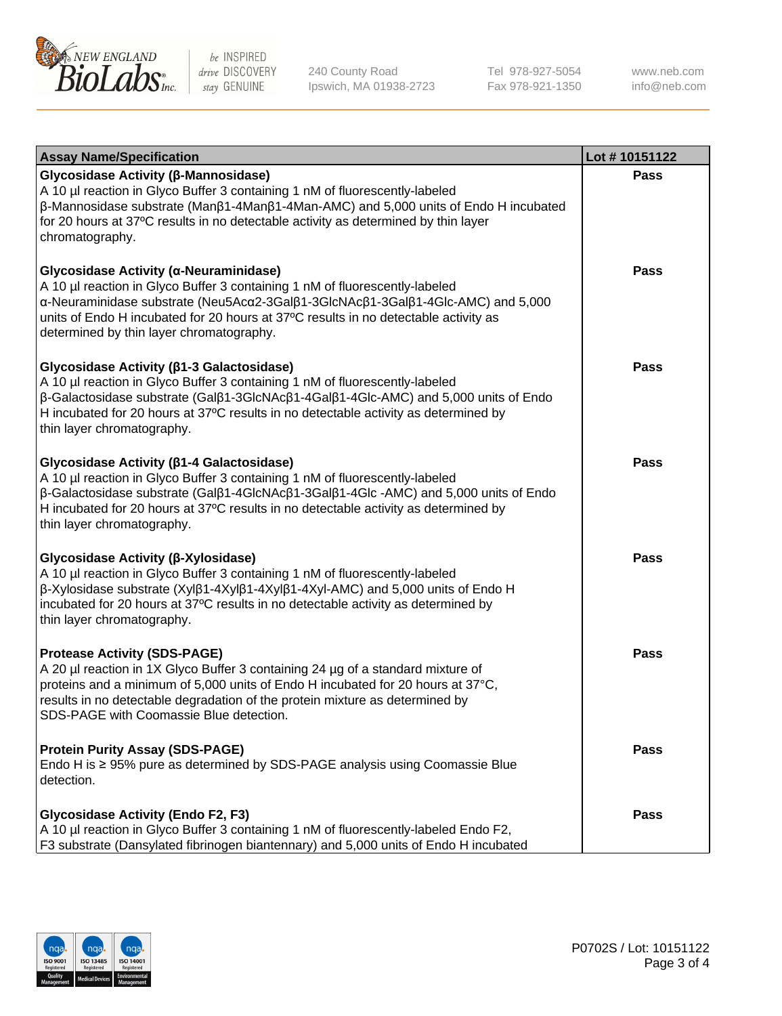

240 County Road Ipswich, MA 01938-2723 Tel 978-927-5054 Fax 978-921-1350

www.neb.com info@neb.com

| <b>Assay Name/Specification</b>                                                                                                                                                                                                                                                                                                                                      | Lot #10151122 |
|----------------------------------------------------------------------------------------------------------------------------------------------------------------------------------------------------------------------------------------------------------------------------------------------------------------------------------------------------------------------|---------------|
| Glycosidase Activity (β-Mannosidase)<br>A 10 µl reaction in Glyco Buffer 3 containing 1 nM of fluorescently-labeled<br>$\beta$ -Mannosidase substrate (Man $\beta$ 1-4Man $\beta$ 1-4Man-AMC) and 5,000 units of Endo H incubated<br>for 20 hours at 37°C results in no detectable activity as determined by thin layer<br>chromatography.                           | <b>Pass</b>   |
| Glycosidase Activity (α-Neuraminidase)<br>A 10 µl reaction in Glyco Buffer 3 containing 1 nM of fluorescently-labeled<br>α-Neuraminidase substrate (Neu5Acα2-3Galβ1-3GlcNAcβ1-3Galβ1-4Glc-AMC) and 5,000<br>units of Endo H incubated for 20 hours at 37°C results in no detectable activity as<br>determined by thin layer chromatography.                          | <b>Pass</b>   |
| Glycosidase Activity (β1-3 Galactosidase)<br>A 10 µl reaction in Glyco Buffer 3 containing 1 nM of fluorescently-labeled<br>$\beta$ -Galactosidase substrate (Gal $\beta$ 1-3GlcNAc $\beta$ 1-4Gal $\beta$ 1-4Glc-AMC) and 5,000 units of Endo<br>H incubated for 20 hours at 37°C results in no detectable activity as determined by<br>thin layer chromatography.  | <b>Pass</b>   |
| Glycosidase Activity (β1-4 Galactosidase)<br>A 10 µl reaction in Glyco Buffer 3 containing 1 nM of fluorescently-labeled<br>$\beta$ -Galactosidase substrate (Gal $\beta$ 1-4GlcNAc $\beta$ 1-3Gal $\beta$ 1-4Glc -AMC) and 5,000 units of Endo<br>H incubated for 20 hours at 37°C results in no detectable activity as determined by<br>thin layer chromatography. | <b>Pass</b>   |
| Glycosidase Activity (β-Xylosidase)<br>A 10 µl reaction in Glyco Buffer 3 containing 1 nM of fluorescently-labeled<br>$\beta$ -Xylosidase substrate (Xyl $\beta$ 1-4Xyl $\beta$ 1-4Xyl $\beta$ 1-4Xyl-AMC) and 5,000 units of Endo H<br>incubated for 20 hours at 37°C results in no detectable activity as determined by<br>thin layer chromatography.              | <b>Pass</b>   |
| <b>Protease Activity (SDS-PAGE)</b><br>A 20 µl reaction in 1X Glyco Buffer 3 containing 24 µg of a standard mixture of<br>proteins and a minimum of 5,000 units of Endo H incubated for 20 hours at 37°C,<br>results in no detectable degradation of the protein mixture as determined by<br>SDS-PAGE with Coomassie Blue detection.                                 | <b>Pass</b>   |
| <b>Protein Purity Assay (SDS-PAGE)</b><br>Endo H is ≥ 95% pure as determined by SDS-PAGE analysis using Coomassie Blue<br>detection.                                                                                                                                                                                                                                 | Pass          |
| <b>Glycosidase Activity (Endo F2, F3)</b><br>A 10 µl reaction in Glyco Buffer 3 containing 1 nM of fluorescently-labeled Endo F2,<br>F3 substrate (Dansylated fibrinogen biantennary) and 5,000 units of Endo H incubated                                                                                                                                            | Pass          |